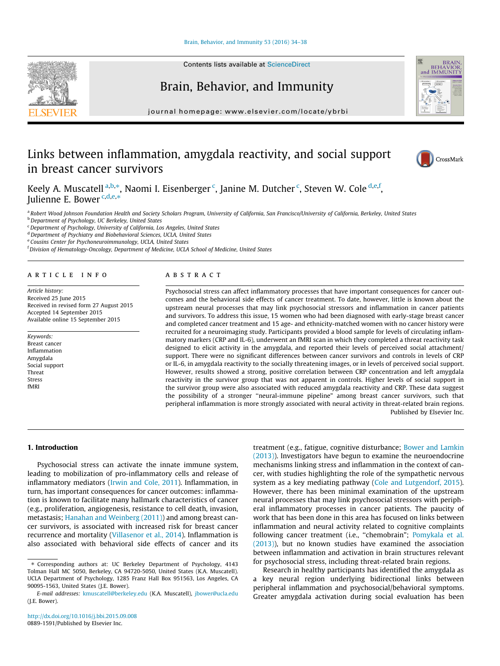#### Brain, Behavior, and Immunity 53 (2016) 34–38

# Brain, Behavior, and Immunity

journal homepage: www.elsevier.com/locate/ybrbi

# Links between inflammation, amygdala reactivity, and social support in breast cancer survivors

Keely A. Muscatell <sup>a,b,</sup>\*, Naomi I. Eisenberger <sup>c</sup>, Janine M. Dutcher <sup>c</sup>, Steven W. Cole <sup>d,e,f</sup>, Julienne E. Bower<sup>c,d,e,\*</sup>

a Robert Wood Johnson Foundation Health and Society Scholars Program, University of California, San Francisco/University of California, Berkeley, United States

**b** Department of Psychology, UC Berkeley, United States

<sup>c</sup> Department of Psychology, University of California, Los Angeles, United States

<sup>d</sup> Department of Psychiatry and Biobehavioral Sciences, UCLA, United States

<sup>e</sup> Cousins Center for Psychoneuroimmunology, UCLA, United States

<sup>f</sup> Division of Hematology-Oncology, Department of Medicine, UCLA School of Medicine, United States

#### article info

Article history: Received 25 June 2015 Received in revised form 27 August 2015 Accepted 14 September 2015 Available online 15 September 2015

Keywords: Breast cancer Inflammation Amygdala Social support Threat Stress fMRI

# ABSTRACT

Psychosocial stress can affect inflammatory processes that have important consequences for cancer outcomes and the behavioral side effects of cancer treatment. To date, however, little is known about the upstream neural processes that may link psychosocial stressors and inflammation in cancer patients and survivors. To address this issue, 15 women who had been diagnosed with early-stage breast cancer and completed cancer treatment and 15 age- and ethnicity-matched women with no cancer history were recruited for a neuroimaging study. Participants provided a blood sample for levels of circulating inflammatory markers (CRP and IL-6), underwent an fMRI scan in which they completed a threat reactivity task designed to elicit activity in the amygdala, and reported their levels of perceived social attachment/ support. There were no significant differences between cancer survivors and controls in levels of CRP or IL-6, in amygdala reactivity to the socially threatening images, or in levels of perceived social support. However, results showed a strong, positive correlation between CRP concentration and left amygdala reactivity in the survivor group that was not apparent in controls. Higher levels of social support in the survivor group were also associated with reduced amygdala reactivity and CRP. These data suggest the possibility of a stronger ''neural-immune pipeline" among breast cancer survivors, such that peripheral inflammation is more strongly associated with neural activity in threat-related brain regions. Published by Elsevier Inc.

1. Introduction

Psychosocial stress can activate the innate immune system, leading to mobilization of pro-inflammatory cells and release of inflammatory mediators (Irwin and Cole, 2011). Inflammation, in turn, has important consequences for cancer outcomes: inflammation is known to facilitate many hallmark characteristics of cancer (e.g., proliferation, angiogenesis, resistance to cell death, invasion, metastasis; Hanahan and Weinberg (2011)) and among breast cancer survivors, is associated with increased risk for breast cancer recurrence and mortality (Villasenor et al., 2014). Inflammation is also associated with behavioral side effects of cancer and its treatment (e.g., fatigue, cognitive disturbance; Bower and Lamkin (2013)). Investigators have begun to examine the neuroendocrine mechanisms linking stress and inflammation in the context of cancer, with studies highlighting the role of the sympathetic nervous system as a key mediating pathway (Cole and Lutgendorf, 2015). However, there has been minimal examination of the upstream neural processes that may link psychosocial stressors with peripheral inflammatory processes in cancer patients. The paucity of work that has been done in this area has focused on links between inflammation and neural activity related to cognitive complaints following cancer treatment (i.e., ''chemobrain"; Pomykala et al. (2013)), but no known studies have examined the association between inflammation and activation in brain structures relevant for psychosocial stress, including threat-related brain regions.

Research in healthy participants has identified the amygdala as a key neural region underlying bidirectional links between peripheral inflammation and psychosocial/behavioral symptoms. Greater amygdala activation during social evaluation has been







<sup>⇑</sup> Corresponding authors at: UC Berkeley Department of Psychology, 4143 Tolman Hall MC 5050, Berkeley, CA 94720-5050, United States (K.A. Muscatell). UCLA Department of Psychology, 1285 Franz Hall Box 951563, Los Angeles, CA 90095-1563, United States (J.E. Bower).

E-mail addresses: kmuscatell@berkeley.edu (K.A. Muscatell), jbower@ucla.edu (J.E. Bower).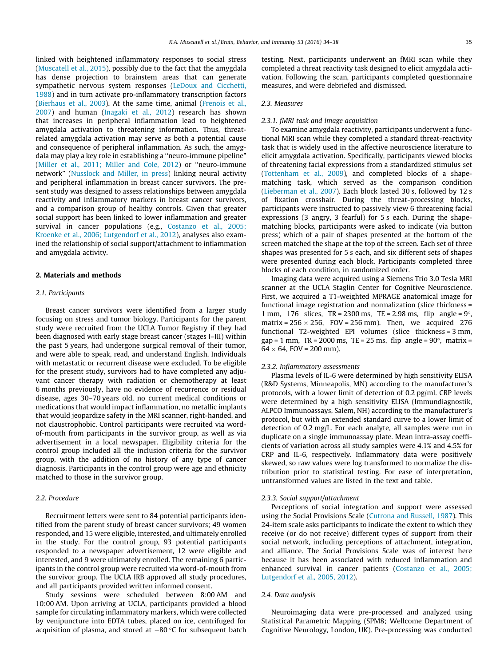linked with heightened inflammatory responses to social stress (Muscatell et al., 2015), possibly due to the fact that the amygdala has dense projection to brainstem areas that can generate sympathetic nervous system responses (LeDoux and Cicchetti, 1988) and in turn activate pro-inflammatory transcription factors (Bierhaus et al., 2003). At the same time, animal (Frenois et al., 2007) and human (Inagaki et al., 2012) research has shown that increases in peripheral inflammation lead to heightened amygdala activation to threatening information. Thus, threatrelated amygdala activation may serve as both a potential cause and consequence of peripheral inflammation. As such, the amygdala may play a key role in establishing a ''neuro-immune pipeline" (Miller et al., 2011; Miller and Cole, 2012) or ''neuro-immune network" (Nusslock and Miller, in press) linking neural activity and peripheral inflammation in breast cancer survivors. The present study was designed to assess relationships between amygdala reactivity and inflammatory markers in breast cancer survivors, and a comparison group of healthy controls. Given that greater social support has been linked to lower inflammation and greater survival in cancer populations (e.g., Costanzo et al., 2005; Kroenke et al., 2006; Lutgendorf et al., 2012), analyses also examined the relationship of social support/attachment to inflammation and amygdala activity.

#### 2. Materials and methods

### 2.1. Participants

Breast cancer survivors were identified from a larger study focusing on stress and tumor biology. Participants for the parent study were recruited from the UCLA Tumor Registry if they had been diagnosed with early stage breast cancer (stages I–III) within the past 5 years, had undergone surgical removal of their tumor, and were able to speak, read, and understand English. Individuals with metastatic or recurrent disease were excluded. To be eligible for the present study, survivors had to have completed any adjuvant cancer therapy with radiation or chemotherapy at least 6 months previously, have no evidence of recurrence or residual disease, ages 30–70 years old, no current medical conditions or medications that would impact inflammation, no metallic implants that would jeopardize safety in the MRI scanner, right-handed, and not claustrophobic. Control participants were recruited via wordof-mouth from participants in the survivor group, as well as via advertisement in a local newspaper. Eligibility criteria for the control group included all the inclusion criteria for the survivor group, with the addition of no history of any type of cancer diagnosis. Participants in the control group were age and ethnicity matched to those in the survivor group.

# 2.2. Procedure

Recruitment letters were sent to 84 potential participants identified from the parent study of breast cancer survivors; 49 women responded, and 15 were eligible, interested, and ultimately enrolled in the study. For the control group, 93 potential participants responded to a newspaper advertisement, 12 were eligible and interested, and 9 were ultimately enrolled. The remaining 6 participants in the control group were recruited via word-of-mouth from the survivor group. The UCLA IRB approved all study procedures, and all participants provided written informed consent.

Study sessions were scheduled between 8:00 AM and 10:00 AM. Upon arriving at UCLA, participants provided a blood sample for circulating inflammatory markers, which were collected by venipuncture into EDTA tubes, placed on ice, centrifuged for acquisition of plasma, and stored at  $-80$  °C for subsequent batch testing. Next, participants underwent an fMRI scan while they completed a threat reactivity task designed to elicit amygdala activation. Following the scan, participants completed questionnaire measures, and were debriefed and dismissed.

### 2.3. Measures

#### 2.3.1. fMRI task and image acquisition

To examine amygdala reactivity, participants underwent a functional MRI scan while they completed a standard threat-reactivity task that is widely used in the affective neuroscience literature to elicit amygdala activation. Specifically, participants viewed blocks of threatening facial expressions from a standardized stimulus set (Tottenham et al., 2009), and completed blocks of a shapematching task, which served as the comparison condition (Lieberman et al., 2007). Each block lasted 30 s, followed by 12 s of fixation crosshair. During the threat-processing blocks, participants were instructed to passively view 6 threatening facial expressions (3 angry, 3 fearful) for 5 s each. During the shapematching blocks, participants were asked to indicate (via button press) which of a pair of shapes presented at the bottom of the screen matched the shape at the top of the screen. Each set of three shapes was presented for 5 s each, and six different sets of shapes were presented during each block. Participants completed three blocks of each condition, in randomized order.

Imaging data were acquired using a Siemens Trio 3.0 Tesla MRI scanner at the UCLA Staglin Center for Cognitive Neuroscience. First, we acquired a T1-weighted MPRAGE anatomical image for functional image registration and normalization (slice thickness = 1 mm, 176 slices, TR = 2300 ms, TE = 2.98 ms, flip angle =  $9^{\circ}$ , matrix =  $256 \times 256$ , FOV =  $256$  mm). Then, we acquired 276 functional T2-weighted EPI volumes (slice thickness = 3 mm, gap = 1 mm,  $TR = 2000$  ms,  $TE = 25$  ms, flip angle =  $90^\circ$ , matrix =  $64 \times 64$ , FOV = 200 mm).

#### 2.3.2. Inflammatory assessments

Plasma levels of IL-6 were determined by high sensitivity ELISA (R&D Systems, Minneapolis, MN) according to the manufacturer's protocols, with a lower limit of detection of 0.2 pg/ml. CRP levels were determined by a high sensitivity ELISA (Immundiagnostik, ALPCO Immunoassays, Salem, NH) according to the manufacturer's protocol, but with an extended standard curve to a lower limit of detection of 0.2 mg/L. For each analyte, all samples were run in duplicate on a single immunoassay plate. Mean intra-assay coefficients of variation across all study samples were 4.1% and 4.5% for CRP and IL-6, respectively. Inflammatory data were positively skewed, so raw values were log transformed to normalize the distribution prior to statistical testing. For ease of interpretation, untransformed values are listed in the text and table.

#### 2.3.3. Social support/attachment

Perceptions of social integration and support were assessed using the Social Provisions Scale (Cutrona and Russell, 1987). This 24-item scale asks participants to indicate the extent to which they receive (or do not receive) different types of support from their social network, including perceptions of attachment, integration, and alliance. The Social Provisions Scale was of interest here because it has been associated with reduced inflammation and enhanced survival in cancer patients (Costanzo et al., 2005; Lutgendorf et al., 2005, 2012).

#### 2.4. Data analysis

Neuroimaging data were pre-processed and analyzed using Statistical Parametric Mapping (SPM8; Wellcome Department of Cognitive Neurology, London, UK). Pre-processing was conducted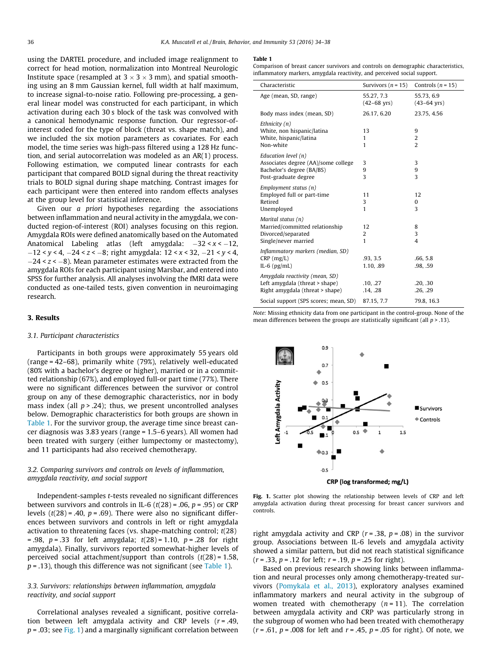using the DARTEL procedure, and included image realignment to correct for head motion, normalization into Montreal Neurologic Institute space (resampled at  $3 \times 3 \times 3$  mm), and spatial smoothing using an 8 mm Gaussian kernel, full width at half maximum, to increase signal-to-noise ratio. Following pre-processing, a general linear model was constructed for each participant, in which activation during each 30 s block of the task was convolved with a canonical hemodynamic response function. Our regressor-ofinterest coded for the type of block (threat vs. shape match), and we included the six motion parameters as covariates. For each model, the time series was high-pass filtered using a 128 Hz function, and serial autocorrelation was modeled as an AR(1) process. Following estimation, we computed linear contrasts for each participant that compared BOLD signal during the threat reactivity trials to BOLD signal during shape matching. Contrast images for each participant were then entered into random effects analyses at the group level for statistical inference.

Given our a priori hypotheses regarding the associations between inflammation and neural activity in the amygdala, we conducted region-of-interest (ROI) analyses focusing on this region. Amygdala ROIs were defined anatomically based on the Automated Anatomical Labeling atlas (left amygdala:  $-32 < x < -12$ ,  $-12 < y < 4$ ,  $-24 < z < -8$ ; right amygdala:  $12 < x < 32$ ,  $-21 < y < 4$ ,  $-24 < z < -8$ ). Mean parameter estimates were extracted from the amygdala ROIs for each participant using Marsbar, and entered into SPSS for further analysis. All analyses involving the fMRI data were conducted as one-tailed tests, given convention in neuroimaging research.

#### 3. Results

#### 3.1. Participant characteristics

Participants in both groups were approximately 55 years old (range = 42–68), primarily white (79%), relatively well-educated (80% with a bachelor's degree or higher), married or in a committed relationship (67%), and employed full-or part time (77%). There were no significant differences between the survivor or control group on any of these demographic characteristics, nor in body mass index (all  $p > 0.24$ ); thus, we present uncontrolled analyses below. Demographic characteristics for both groups are shown in Table 1. For the survivor group, the average time since breast cancer diagnosis was 3.83 years (range = 1.5–6 years). All women had been treated with surgery (either lumpectomy or mastectomy), and 11 participants had also received chemotherapy.

# 3.2. Comparing survivors and controls on levels of inflammation, amygdala reactivity, and social support

Independent-samples t-tests revealed no significant differences between survivors and controls in IL-6 ( $t(28)$  = .06,  $p$  = .95) or CRP levels  $(t(28) = .40, p = .69)$ . There were also no significant differences between survivors and controls in left or right amygdala activation to threatening faces (vs. shape-matching control;  $t(28)$ ) = .98,  $p = .33$  for left amygdala;  $t(28) = 1.10$ ,  $p = .28$  for right amygdala). Finally, survivors reported somewhat-higher levels of perceived social attachment/support than controls  $(t(28) = 1.58$ ,  $p = .13$ ), though this difference was not significant (see Table 1).

# 3.3. Survivors: relationships between inflammation, amygdala reactivity, and social support

Correlational analyses revealed a significant, positive correlation between left amygdala activity and CRP levels  $(r = .49, )$  $p = .03$ ; see Fig. 1) and a marginally significant correlation between

#### Table 1

Comparison of breast cancer survivors and controls on demographic characteristics, inflammatory markers, amygdala reactivity, and perceived social support.

| Characteristic                                                                                                    | Survivors $(n = 15)$                  | Controls $(n = 15)$                   |
|-------------------------------------------------------------------------------------------------------------------|---------------------------------------|---------------------------------------|
| Age (mean, SD, range)                                                                                             | 55.27, 7.3<br>$(42 - 68 \text{ yrs})$ | 55.73, 6.9<br>$(43 - 64 \text{ yrs})$ |
| Body mass index (mean, SD)                                                                                        | 26.17, 6.20                           | 23.75, 4.56                           |
| Ethnicity $(n)$<br>White, non hispanic/latina<br>White, hispanic/latina<br>Non-white                              | 13<br>$\mathbf{1}$<br>1               | 9<br>2<br>$\overline{\mathcal{L}}$    |
| Education level $(n)$<br>Associates degree (AA)/some college<br>Bachelor's degree (BA/BS)<br>Post-graduate degree | 3<br>9<br>3                           | 3<br>9<br>3                           |
| Employment status (n)<br>Employed full or part-time<br>Retired<br>Unemployed                                      | 11<br>3<br>1                          | 12<br>0<br>3                          |
| Marital status (n)<br>Married/committed relationship<br>Divorced/separated<br>Single/never married                | 12<br>2<br>$\mathbf{1}$               | 8<br>3<br>$\overline{4}$              |
| Inflammatory markers (median, SD)<br>$CRP$ (mg/L)<br>IL-6 $(pg/mL)$                                               | .93, 3.5<br>1.10, 89                  | .66, 5.8<br>.98, .59                  |
| Amygdala reactivity (mean, SD)<br>Left amygdala (threat > shape)<br>Right amygdala (threat > shape)               | .10, .27<br>.14, .28                  | .20, .30<br>.26, .29                  |
| Social support (SPS scores; mean, SD)                                                                             | 87.15, 7.7                            | 79.8, 16.3                            |

Note: Missing ethnicity data from one participant in the control-group. None of the mean differences between the groups are statistically significant (all  $p > 13$ ).



CRP (log transformed; mg/L)

Fig. 1. Scatter plot showing the relationship between levels of CRP and left amygdala activation during threat processing for breast cancer survivors and controls.

right amygdala activity and CRP ( $r = .38$ ,  $p = .08$ ) in the survivor group. Associations between IL-6 levels and amygdala activity showed a similar pattern, but did not reach statistical significance  $(r = .33, p = .12$  for left;  $r = .19, p = .25$  for right).

Based on previous research showing links between inflammation and neural processes only among chemotherapy-treated survivors (Pomykala et al., 2013), exploratory analyses examined inflammatory markers and neural activity in the subgroup of women treated with chemotherapy  $(n = 11)$ . The correlation between amygdala activity and CRP was particularly strong in the subgroup of women who had been treated with chemotherapy  $(r = .61, p = .008$  for left and  $r = .45, p = .05$  for right). Of note, we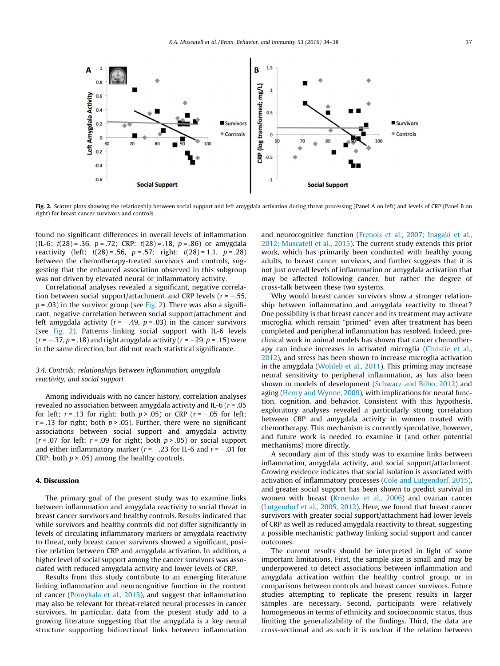

Fig. 2. Scatter plots showing the relationship between social support and left amygdala activation during threat processing (Panel A on left) and levels of CRP (Panel B on right) for breast cancer survivors and controls.

found no significant differences in overall levels of inflammation (IL-6:  $t(28) = .36$ ,  $p = .72$ ; CRP:  $t(28) = .18$ ,  $p = .86$ ) or amygdala reactivity (left:  $t(28) = .56$ ,  $p = .57$ ; right:  $t(28) = 1.1$ ,  $p = .28$ ) between the chemotherapy-treated survivors and controls, suggesting that the enhanced association observed in this subgroup was not driven by elevated neural or inflammatory activity.

Correlational analyses revealed a significant, negative correlation between social support/attachment and CRP levels ( $r = -.55$ ,  $p = .03$ ) in the survivor group (see Fig. 2). There was also a significant, negative correlation between social support/attachment and left amygdala activity ( $r = -.49$ ,  $p = .03$ ) in the cancer survivors (see Fig. 2). Patterns linking social support with IL-6 levels  $(r = -.37, p = .18)$  and right amygdala activity  $(r = -29, p = .15)$  were in the same direction, but did not reach statistical significance.

# 3.4. Controls: relationships between inflammation, amygdala reactivity, and social support

Among individuals with no cancer history, correlation analyses revealed no association between amygdala activity and IL-6 ( $r = .05$ ) for left;  $r = .13$  for right; both  $p > .05$ ) or CRP ( $r = -.05$  for left;  $r = .13$  for right; both  $p > .05$ ). Further, there were no significant associations between social support and amygdala activity  $(r = .07$  for left;  $r = .09$  for right; both  $p > .05$ ) or social support and either inflammatory marker ( $r = -.23$  for IL-6 and  $r = -.01$  for CRP; both  $p > .05$ ) among the healthy controls.

# 4. Discussion

The primary goal of the present study was to examine links between inflammation and amygdala reactivity to social threat in breast cancer survivors and healthy controls. Results indicated that while survivors and healthy controls did not differ significantly in levels of circulating inflammatory markers or amygdala reactivity to threat, only breast cancer survivors showed a significant, positive relation between CRP and amygdala activation. In addition, a higher level of social support among the cancer survivors was associated with reduced amygdala activity and lower levels of CRP.

Results from this study contribute to an emerging literature linking inflammation and neurocognitive function in the context of cancer (Pomykala et al., 2013), and suggest that inflammation may also be relevant for threat-related neural processes in cancer survivors. In particular, data from the present study add to a growing literature suggesting that the amygdala is a key neural structure supporting bidirectional links between inflammation and neurocognitive function (Frenois et al., 2007; Inagaki et al., 2012; Muscatell et al., 2015). The current study extends this prior work, which has primarily been conducted with healthy young adults, to breast cancer survivors, and further suggests that it is not just overall levels of inflammation or amygdala activation that may be affected following cancer, but rather the degree of cross-talk between these two systems.

Why would breast cancer survivors show a stronger relationship between inflammation and amygdala reactivity to threat? One possibility is that breast cancer and its treatment may activate microglia, which remain ''primed" even after treatment has been completed and peripheral inflammation has resolved. Indeed, preclinical work in animal models has shown that cancer chemotherapy can induce increases in activated microglia (Christie et al., 2012), and stress has been shown to increase microglia activation in the amygdala (Wohleb et al., 2011). This priming may increase neural sensitivity to peripheral inflammation, as has also been shown in models of development (Schwarz and Bilbo, 2012) and aging (Henry and Wynne, 2009), with implications for neural function, cognition, and behavior. Consistent with this hypothesis, exploratory analyses revealed a particularly strong correlation between CRP and amygdala activity in women treated with chemotherapy. This mechanism is currently speculative, however, and future work is needed to examine it (and other potential mechanisms) more directly.

A secondary aim of this study was to examine links between inflammation, amygdala activity, and social support/attachment. Growing evidence indicates that social isolation is associated with activation of inflammatory processes (Cole and Lutgendorf, 2015), and greater social support has been shown to predict survival in women with breast (Kroenke et al., 2006) and ovarian cancer (Lutgendorf et al., 2005, 2012). Here, we found that breast cancer survivors with greater social support/attachment had lower levels of CRP as well as reduced amygdala reactivity to threat, suggesting a possible mechanistic pathway linking social support and cancer outcomes.

The current results should be interpreted in light of some important limitations. First, the sample size is small and may be underpowered to detect associations between inflammation and amygdala activation within the healthy control group, or in comparisons between controls and breast cancer survivors. Future studies attempting to replicate the present results in larger samples are necessary. Second, participants were relatively homogeneous in terms of ethnicity and socioeconomic status, thus limiting the generalizability of the findings. Third, the data are cross-sectional and as such it is unclear if the relation between